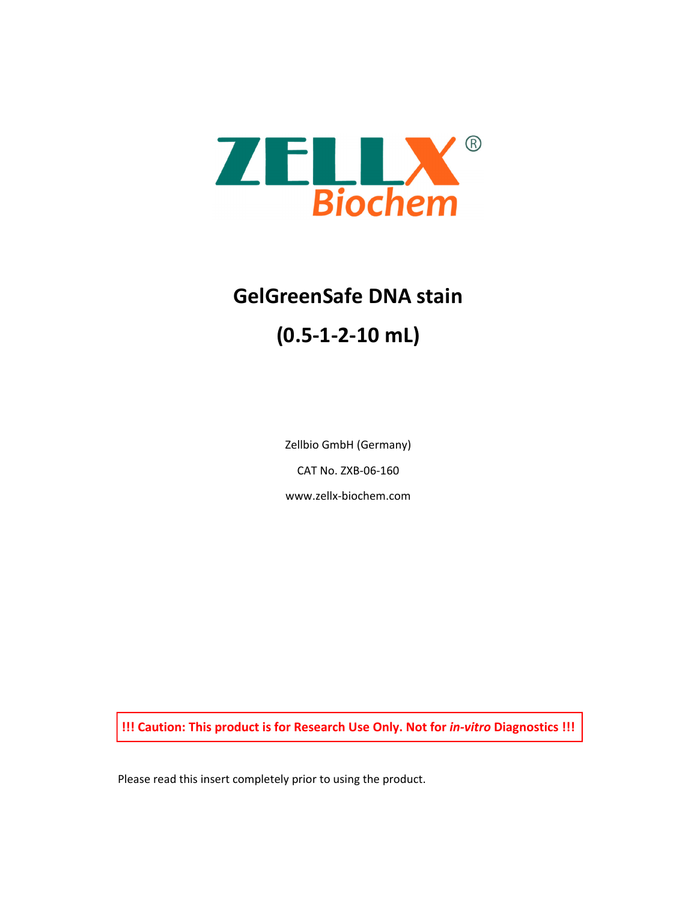

# **GelGreenSafe DNA stain (0.5‐1‐2‐10 mL)**

Zellbio GmbH (Germany) CAT No. ZXB‐06‐160 www.zellx‐biochem.com

**!!! Caution: This product is for Research Use Only. Not for** *in‐vitro* **Diagnostics !!!**

Please read this insert completely prior to using the product.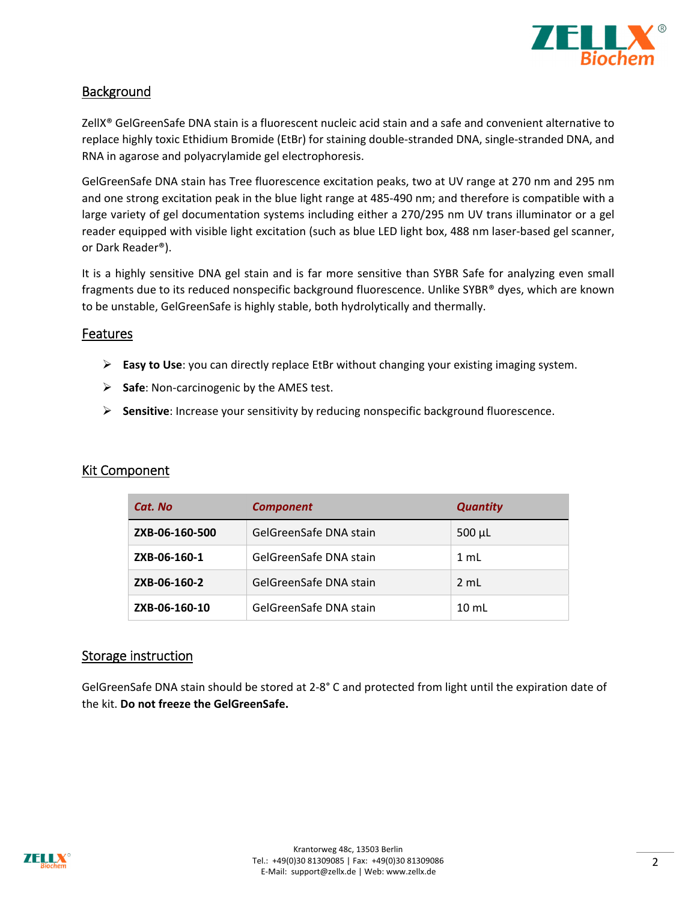

# **Background**

ZellX® GelGreenSafe DNA stain is a fluorescent nucleic acid stain and a safe and convenient alternative to replace highly toxic Ethidium Bromide (EtBr) for staining double‐stranded DNA, single‐stranded DNA, and RNA in agarose and polyacrylamide gel electrophoresis.

GelGreenSafe DNA stain has Tree fluorescence excitation peaks, two at UV range at 270 nm and 295 nm and one strong excitation peak in the blue light range at 485-490 nm; and therefore is compatible with a large variety of gel documentation systems including either a 270/295 nm UV trans illuminator or a gel reader equipped with visible light excitation (such as blue LED light box, 488 nm laser-based gel scanner, or Dark Reader®).

It is a highly sensitive DNA gel stain and is far more sensitive than SYBR Safe for analyzing even small fragments due to its reduced nonspecific background fluorescence. Unlike SYBR® dyes, which are known to be unstable, GelGreenSafe is highly stable, both hydrolytically and thermally.

## Features

- **Easy to Use**: you can directly replace EtBr without changing your existing imaging system.
- **Safe**: Non‐carcinogenic by the AMES test.
- **Sensitive**: Increase your sensitivity by reducing nonspecific background fluorescence.

## Kit Component

| Cat. No        | <b>Component</b>       | <b>Quantity</b> |
|----------------|------------------------|-----------------|
| ZXB-06-160-500 | GelGreenSafe DNA stain | $500 \mu L$     |
| ZXB-06-160-1   | GelGreenSafe DNA stain | 1 mL            |
| ZXB-06-160-2   | GelGreenSafe DNA stain | $2 \text{ mL}$  |
| ZXB-06-160-10  | GelGreenSafe DNA stain | $10 \text{ mL}$ |

## Storage instruction

GelGreenSafe DNA stain should be stored at 2‐8° C and protected from light until the expiration date of the kit. **Do not freeze the GelGreenSafe.**